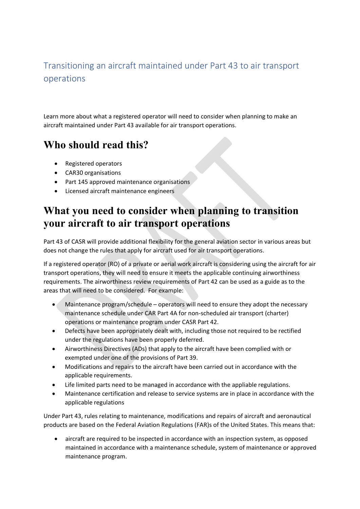#### Transitioning an aircraft maintained under Part 43 to air transport operations

Learn more about what a registered operator will need to consider when planning to make an aircraft maintained under Part 43 available for air transport operations.

### **Who should read this?**

- Registered operators
- CAR30 organisations
- Part 145 approved maintenance organisations
- Licensed aircraft maintenance engineers

#### **What you need to consider when planning to transition your aircraft to air transport operations**

Part 43 of CASR will provide additional flexibility for the general aviation sector in various areas but does not change the rules that apply for aircraft used for air transport operations.

If a registered operator (RO) of a private or aerial work aircraft is considering using the aircraft for air transport operations, they will need to ensure it meets the applicable continuing airworthiness requirements. The airworthiness review requirements of Part 42 can be used as a guide as to the areas that will need to be considered. For example:

- Maintenance program/schedule operators will need to ensure they adopt the necessary maintenance schedule under CAR Part 4A for non-scheduled air transport (charter) operations or maintenance program under CASR Part 42.
- Defects have been appropriately dealt with, including those not required to be rectified under the regulations have been properly deferred.
- Airworthiness Directives (ADs) that apply to the aircraft have been complied with or exempted under one of the provisions of Part 39.
- Modifications and repairs to the aircraft have been carried out in accordance with the applicable requirements.
- Life limited parts need to be managed in accordance with the appliable regulations.
- Maintenance certification and release to service systems are in place in accordance with the applicable regulations

Under Part 43, rules relating to maintenance, modifications and repairs of aircraft and aeronautical products are based on the Federal Aviation Regulations (FAR)s of the United States. This means that:

• aircraft are required to be inspected in accordance with an inspection system, as opposed maintained in accordance with a maintenance schedule, system of maintenance or approved maintenance program.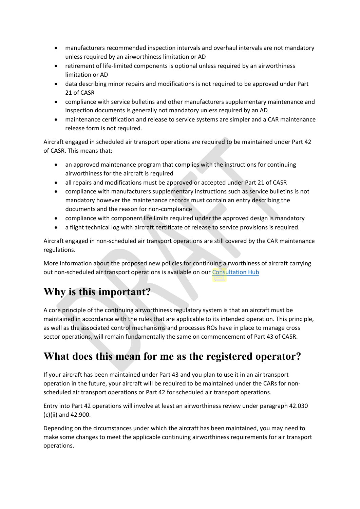- manufacturers recommended inspection intervals and overhaul intervals are not mandatory unless required by an airworthiness limitation or AD
- retirement of life-limited components is optional unless required by an airworthiness limitation or AD
- data describing minor repairs and modifications is not required to be approved under Part 21 of CASR
- compliance with service bulletins and other manufacturers supplementary maintenance and inspection documents is generally not mandatory unless required by an AD
- maintenance certification and release to service systems are simpler and a CAR maintenance release form is not required.

Aircraft engaged in scheduled air transport operations are required to be maintained under Part 42 of CASR. This means that:

- an approved maintenance program that complies with the instructions for continuing airworthiness for the aircraft is required
- all repairs and modifications must be approved or accepted under Part 21 of CASR
- compliance with manufacturers supplementary instructions such as service bulletins is not mandatory however the maintenance records must contain an entry describing the documents and the reason for non-compliance
- compliance with component life limits required under the approved design is mandatory
- a flight technical log with aircraft certificate of release to service provisions is required.

Aircraft engaged in non-scheduled air transport operations are still covered by the CAR maintenance regulations.

More information about the proposed new policies for continuing airworthiness of aircraft carrying out non-scheduled air transport operations is available on our Consultation Hub

## **Why is this important?**

A core principle of the continuing airworthiness regulatory system is that an aircraft must be maintained in accordance with the rules that are applicable to its intended operation. This principle, as well as the associated control mechanisms and processes ROs have in place to manage cross sector operations, will remain fundamentally the same on commencement of Part 43 of CASR.

### **What does this mean for me as the registered operator?**

If your aircraft has been maintained under Part 43 and you plan to use it in an air transport operation in the future, your aircraft will be required to be maintained under the CARs for nonscheduled air transport operations or Part 42 for scheduled air transport operations.

Entry into Part 42 operations will involve at least an airworthiness review under paragraph 42.030 (c)(ii) and 42.900.

Depending on the circumstances under which the aircraft has been maintained, you may need to make some changes to meet the applicable continuing airworthiness requirements for air transport operations.